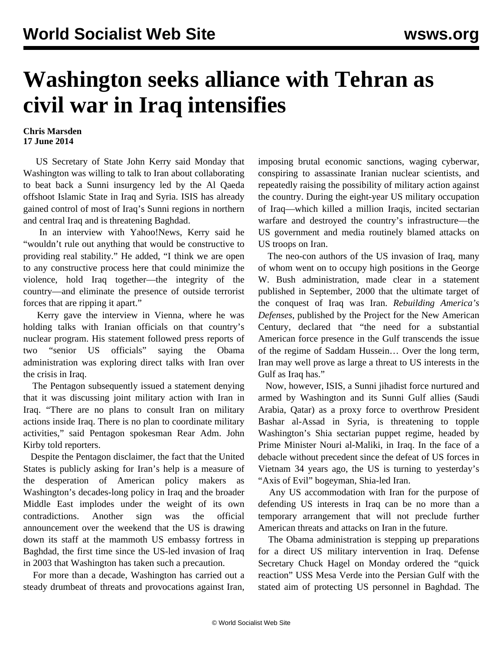## **Washington seeks alliance with Tehran as civil war in Iraq intensifies**

## **Chris Marsden 17 June 2014**

 US Secretary of State John Kerry said Monday that Washington was willing to talk to Iran about collaborating to beat back a Sunni insurgency led by the Al Qaeda offshoot Islamic State in Iraq and Syria. ISIS has already gained control of most of Iraq's Sunni regions in northern and central Iraq and is threatening Baghdad.

 In an interview with Yahoo!News, Kerry said he "wouldn't rule out anything that would be constructive to providing real stability." He added, "I think we are open to any constructive process here that could minimize the violence, hold Iraq together—the integrity of the country—and eliminate the presence of outside terrorist forces that are ripping it apart."

 Kerry gave the interview in Vienna, where he was holding talks with Iranian officials on that country's nuclear program. His statement followed press reports of two "senior US officials" saying the Obama administration was exploring direct talks with Iran over the crisis in Iraq.

 The Pentagon subsequently issued a statement denying that it was discussing joint military action with Iran in Iraq. "There are no plans to consult Iran on military actions inside Iraq. There is no plan to coordinate military activities," said Pentagon spokesman Rear Adm. John Kirby told reporters.

 Despite the Pentagon disclaimer, the fact that the United States is publicly asking for Iran's help is a measure of the desperation of American policy makers as Washington's decades-long policy in Iraq and the broader Middle East implodes under the weight of its own contradictions. Another sign was the official announcement over the weekend that the US is drawing down its staff at the mammoth US embassy fortress in Baghdad, the first time since the US-led invasion of Iraq in 2003 that Washington has taken such a precaution.

 For more than a decade, Washington has carried out a steady drumbeat of threats and provocations against Iran,

imposing brutal economic sanctions, waging cyberwar, conspiring to assassinate Iranian nuclear scientists, and repeatedly raising the possibility of military action against the country. During the eight-year US military occupation of Iraq—which killed a million Iraqis, incited sectarian warfare and destroyed the country's infrastructure—the US government and media routinely blamed attacks on US troops on Iran.

 The neo-con authors of the US invasion of Iraq, many of whom went on to occupy high positions in the George W. Bush administration, made clear in a statement published in September, 2000 that the ultimate target of the conquest of Iraq was Iran. *Rebuilding America's Defenses*, published by the Project for the New American Century, declared that "the need for a substantial American force presence in the Gulf transcends the issue of the regime of Saddam Hussein… Over the long term, Iran may well prove as large a threat to US interests in the Gulf as Iraq has."

 Now, however, ISIS, a Sunni jihadist force nurtured and armed by Washington and its Sunni Gulf allies (Saudi Arabia, Qatar) as a proxy force to overthrow President Bashar al-Assad in Syria, is threatening to topple Washington's Shia sectarian puppet regime, headed by Prime Minister Nouri al-Maliki, in Iraq. In the face of a debacle without precedent since the defeat of US forces in Vietnam 34 years ago, the US is turning to yesterday's "Axis of Evil" bogeyman, Shia-led Iran.

 Any US accommodation with Iran for the purpose of defending US interests in Iraq can be no more than a temporary arrangement that will not preclude further American threats and attacks on Iran in the future.

 The Obama administration is stepping up preparations for a direct US military intervention in Iraq. Defense Secretary Chuck Hagel on Monday ordered the "quick reaction" USS Mesa Verde into the Persian Gulf with the stated aim of protecting US personnel in Baghdad. The